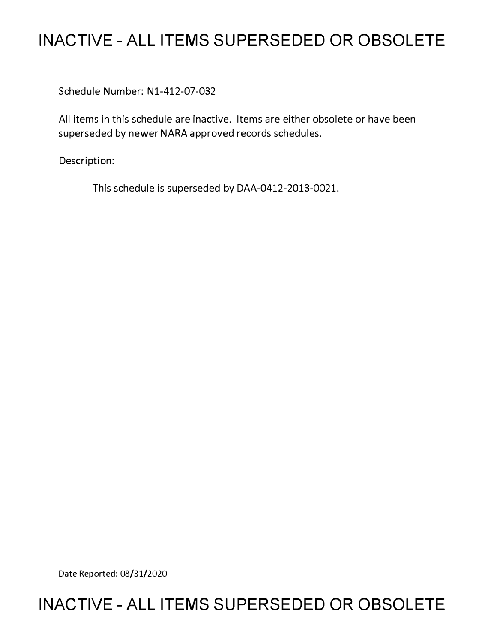# **INACTIVE - ALL ITEMS SUPERSEDED OR OBSOLETE**

Schedule Number: Nl-412-07-032

All items in this schedule are inactive. Items are either obsolete or have been superseded by newer NARA approved records schedules.

Description:

This schedule is superseded by DAA-0412-2013-0021.

Date Reported: 08/31/2020

## **INACTIVE - ALL ITEMS SUPERSEDED OR OBSOLETE**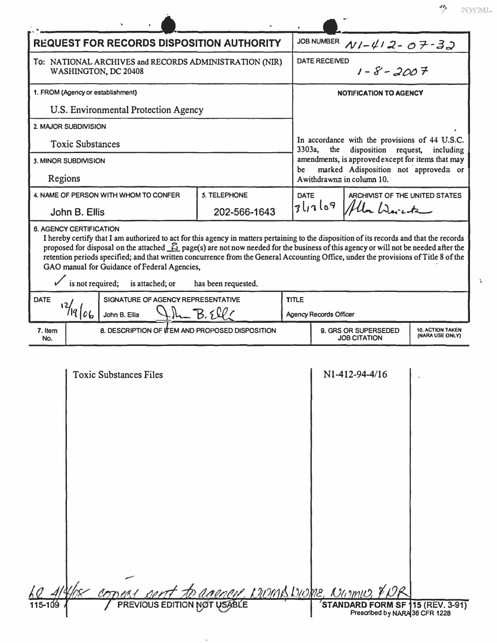$\overline{\text{NWML}}$ ۶۳۶<br>م

Ŷ.

Ť,

| <b>REQUEST FOR RECORDS DISPOSITION AUTHORITY</b>                                                                                                                                                                                                                                                                                                                                                                                                                                                                                                                                   |  |                                                                                                 | JOB NUMBER $N1-\frac{U}{2}-07-32$                                                                    |                                            |  |
|------------------------------------------------------------------------------------------------------------------------------------------------------------------------------------------------------------------------------------------------------------------------------------------------------------------------------------------------------------------------------------------------------------------------------------------------------------------------------------------------------------------------------------------------------------------------------------|--|-------------------------------------------------------------------------------------------------|------------------------------------------------------------------------------------------------------|--------------------------------------------|--|
| To: NATIONAL ARCHIVES and RECORDS ADMINISTRATION (NIR)<br>WASHINGTON, DC 20408                                                                                                                                                                                                                                                                                                                                                                                                                                                                                                     |  |                                                                                                 | DATE RECEIVED<br>$1 - 8 - 2007$                                                                      |                                            |  |
| 1. FROM (Agency or establishment)                                                                                                                                                                                                                                                                                                                                                                                                                                                                                                                                                  |  |                                                                                                 | <b>NOTIFICATION TO AGENCY</b>                                                                        |                                            |  |
| U.S. Environmental Protection Agency                                                                                                                                                                                                                                                                                                                                                                                                                                                                                                                                               |  |                                                                                                 |                                                                                                      |                                            |  |
| 2. MAJOR SUBDIVISION                                                                                                                                                                                                                                                                                                                                                                                                                                                                                                                                                               |  |                                                                                                 |                                                                                                      |                                            |  |
| <b>Toxic Substances</b>                                                                                                                                                                                                                                                                                                                                                                                                                                                                                                                                                            |  |                                                                                                 | In accordance with the provisions of 44 U.S.C.<br>3303a,<br>the<br>disposition request,<br>including |                                            |  |
| 3. MINOR SUBDIVISION                                                                                                                                                                                                                                                                                                                                                                                                                                                                                                                                                               |  | amendments, is approved except for items that may<br>marked Adisposition not approved= or<br>be |                                                                                                      |                                            |  |
| Regions                                                                                                                                                                                                                                                                                                                                                                                                                                                                                                                                                                            |  |                                                                                                 | Awithdrawn $\equiv$ in column 10.                                                                    |                                            |  |
| <b>5. TELEPHONE</b><br>4. NAME OF PERSON WITH WHOM TO CONFER                                                                                                                                                                                                                                                                                                                                                                                                                                                                                                                       |  | <b>DATE</b>                                                                                     | ARCHIVIST OF THE UNITED STATES<br>3ln169<br>Alla Warente                                             |                                            |  |
| 202-566-1643<br>John B. Ellis                                                                                                                                                                                                                                                                                                                                                                                                                                                                                                                                                      |  |                                                                                                 |                                                                                                      |                                            |  |
| <b>6. AGENCY CERTIFICATION</b><br>I hereby certify that I am authorized to act for this agency in matters pertaining to the disposition of its records and that the records<br>proposed for disposal on the attached $\mathcal{L}_2$ page(s) are not now needed for the business of this agency or will not be needed after the<br>retention periods specified; and that written concurrence from the General Accounting Office, under the provisions of Title 8 of the<br>GAO manual for Guidance of Federal Agencies,<br>is not required; is attached; or<br>has been requested. |  |                                                                                                 |                                                                                                      |                                            |  |
| <b>DATE</b><br>SIGNATURE OF AGENCY REPRESENTATIVE                                                                                                                                                                                                                                                                                                                                                                                                                                                                                                                                  |  | <b>TITLE</b>                                                                                    |                                                                                                      |                                            |  |
| $12/19$ $06$<br>$H_{\text{max}}B.5911$<br>John B. Ellis                                                                                                                                                                                                                                                                                                                                                                                                                                                                                                                            |  |                                                                                                 | <b>Agency Records Officer</b>                                                                        |                                            |  |
| 7. Item<br>8. DESCRIPTION OF ITEM AND PROPOSED DISPOSITION<br>No.                                                                                                                                                                                                                                                                                                                                                                                                                                                                                                                  |  |                                                                                                 | 9. GRS OR SUPERSEDED<br><b>JOB CITATION</b>                                                          | <b>10. ACTION TAKEN</b><br>(NARA USE ONLY) |  |
| <b>Toxic Substances Files</b>                                                                                                                                                                                                                                                                                                                                                                                                                                                                                                                                                      |  |                                                                                                 | N1-412-94-4/16                                                                                       |                                            |  |
| Concert fo agency, CWMA WOME, Numw, YOR<br>115-109                                                                                                                                                                                                                                                                                                                                                                                                                                                                                                                                 |  |                                                                                                 | STANDARD FORM SF 115 (REV. 3-91)                                                                     |                                            |  |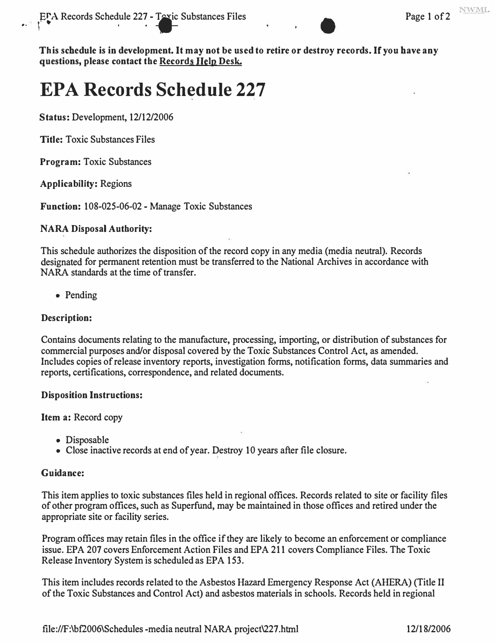

**This schedule is in development. It may not be used to retire or destroy records. If you have any questions, please contact the Records Help Desk.** 

# **EPA Records Schedule 227**

**Status:** *Development, 12/12/2006* 

**Title:** *Toxic Substances Files* 

**Program:** *Toxic Substances* 

**Applicability:** *Regions* 

 $\mathbf{r} \rightarrow \mathbf{r}$ 

**Function:** *108-025-06-02 - Manage Toxic Substances* 

### **NARA Disposal Authority:**

*This schedule authorizes the disposition of the record copy in any media (media neutral). Records designated for permanent retention must be transferred to the National Archives in accordance with NARA standards at the time of transfer.* 

*• Pending* 

### **Description:**

*Contains documents relating to the manufacture, processing, importing, or distribution of substances for commercial purposes and/or disposal covered by the Toxic Substances Control Act, as amended.*  Includes copies of release inventory reports, investigation forms, notification forms, data summaries and *reports, certifications, correspondence, and related documents.* 

#### **Disposition Instructions:**

**Item a:** *Record copy* 

- *Disposable*
- *Close inactive records at end of year. Destroy 10 years after file closure.*

#### **Guidance:**

*This item applies to toxic substances files held in regional offices. Records related to site or facility files of other program offices, such as Superfund, may be maintained in those offices and retired under the appropriate site or facility series.* 

*Program offices may retain files in the office if they are likely to become an enforcement or compliance issue. EPA 207 covers Enforcement Action Files and EPA 211 covers Compliance Files. The Toxic Release Inventory System is scheduled as EPA 153.* 

*This item includes records related to the Asbestos Hazard Emergency Response Act (AHERA) (Title II of the Toxic Substances and Control Act) and asbestos materials in schools. Records held in regional*